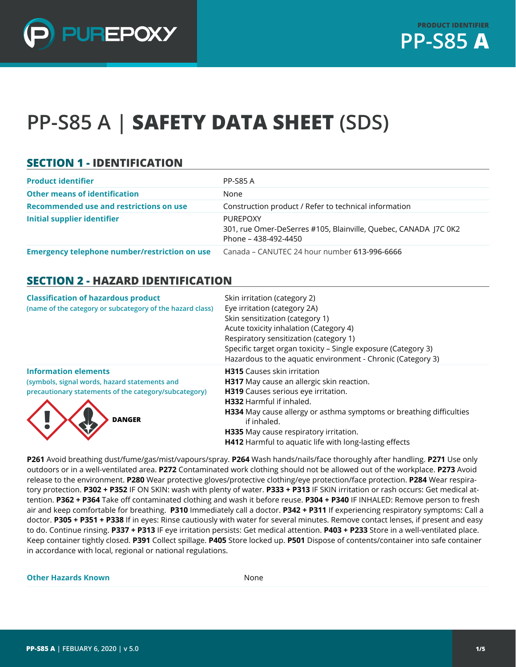

# **PP-S85 A | SAFETY DATA SHEET (SDS)**

### **SECTION 1 - IDENTIFICATION**

| <b>Product identifier</b>                     | <b>PP-S85 A</b>                                                                                     |
|-----------------------------------------------|-----------------------------------------------------------------------------------------------------|
| <b>Other means of identification</b>          | None                                                                                                |
| Recommended use and restrictions on use       | Construction product / Refer to technical information                                               |
| <b>Initial supplier identifier</b>            | PUREPOXY<br>301, rue Omer-DeSerres #105, Blainville, Quebec, CANADA J7C 0K2<br>Phone – 438-492-4450 |
| Emergency telephone number/restriction on use | Canada - CANUTEC 24 hour number 613-996-6666                                                        |

#### **SECTION 2 - HAZARD IDENTIFICATION**

| <b>Classification of hazardous product</b><br>(name of the category or subcategory of the hazard class)                                                | Skin irritation (category 2)<br>Eye irritation (category 2A)<br>Skin sensitization (category 1)<br>Acute toxicity inhalation (Category 4)<br>Respiratory sensitization (category 1)<br>Specific target organ toxicity - Single exposure (Category 3)<br>Hazardous to the aquatic environment - Chronic (Category 3)                                 |
|--------------------------------------------------------------------------------------------------------------------------------------------------------|-----------------------------------------------------------------------------------------------------------------------------------------------------------------------------------------------------------------------------------------------------------------------------------------------------------------------------------------------------|
| <b>Information elements</b><br>(symbols, signal words, hazard statements and<br>precautionary statements of the category/subcategory)<br><b>DANGER</b> | <b>H315</b> Causes skin irritation<br>H317 May cause an allergic skin reaction.<br>H319 Causes serious eye irritation.<br>H332 Harmful if inhaled.<br><b>H334</b> May cause allergy or asthma symptoms or breathing difficulties<br>if inhaled.<br>H335 May cause respiratory irritation.<br>H412 Harmful to aquatic life with long-lasting effects |

**P261** Avoid breathing dust/fume/gas/mist/vapours/spray. **P264** Wash hands/nails/face thoroughly after handling. **P271** Use only outdoors or in a well-ventilated area. **P272** Contaminated work clothing should not be allowed out of the workplace. **P273** Avoid release to the environment. **P280** Wear protective gloves/protective clothing/eye protection/face protection. **P284** Wear respiratory protection. **P302 + P352** IF ON SKIN: wash with plenty of water. **P333 + P313** IF SKIN irritation or rash occurs: Get medical attention. **P362 + P364** Take off contaminated clothing and wash it before reuse. **P304 + P340** IF INHALED: Remove person to fresh air and keep comfortable for breathing. **P310** Immediately call a doctor. **P342 + P311** If experiencing respiratory symptoms: Call a doctor. **P305 + P351 + P338** If in eyes: Rinse cautiously with water for several minutes. Remove contact lenses, if present and easy to do. Continue rinsing. **P337 + P313** IF eye irritation persists: Get medical attention. **P403 + P233** Store in a well-ventilated place. Keep container tightly closed. **P391** Collect spillage. **P405** Store locked up. **P501** Dispose of contents/container into safe container in accordance with local, regional or national regulations.

#### **Other Hazards Known** None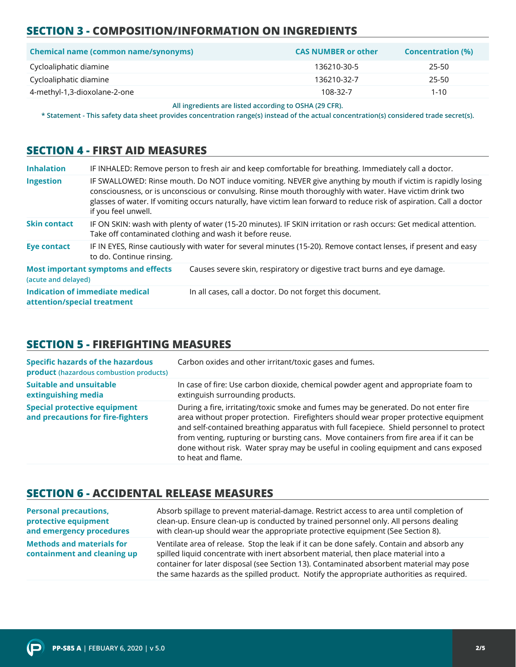# **SECTION 3 - COMPOSITION/INFORMATION ON INGREDIENTS**

| <b>Chemical name (common name/synonyms)</b> | <b>CAS NUMBER or other</b> | <b>Concentration (%)</b> |
|---------------------------------------------|----------------------------|--------------------------|
| Cycloaliphatic diamine                      | 136210-30-5                | 25-50                    |
| Cycloaliphatic diamine                      | 136210-32-7                | 25-50                    |
| 4-methyl-1,3-dioxolane-2-one                | 108-32-7                   | $1 - 10$                 |

**All ingredients are listed according to OSHA (29 CFR).**

**\* Statement - This safety data sheet provides concentration range(s) instead of the actual concentration(s) considered trade secret(s).**

#### **SECTION 4 - FIRST AID MEASURES**

| <b>Inhalation</b>           |                                                                                                                                                                              | IF INHALED: Remove person to fresh air and keep comfortable for breathing. Immediately call a doctor.                                                                                                                                                                                                                                           |
|-----------------------------|------------------------------------------------------------------------------------------------------------------------------------------------------------------------------|-------------------------------------------------------------------------------------------------------------------------------------------------------------------------------------------------------------------------------------------------------------------------------------------------------------------------------------------------|
| <b>Ingestion</b>            | if you feel unwell.                                                                                                                                                          | IF SWALLOWED: Rinse mouth. Do NOT induce vomiting. NEVER give anything by mouth if victim is rapidly losing<br>consciousness, or is unconscious or convulsing. Rinse mouth thoroughly with water. Have victim drink two<br>glasses of water. If vomiting occurs naturally, have victim lean forward to reduce risk of aspiration. Call a doctor |
| <b>Skin contact</b>         | IF ON SKIN: wash with plenty of water (15-20 minutes). IF SKIN irritation or rash occurs: Get medical attention.<br>Take off contaminated clothing and wash it before reuse. |                                                                                                                                                                                                                                                                                                                                                 |
| <b>Eye contact</b>          | to do. Continue rinsing.                                                                                                                                                     | IF IN EYES, Rinse cautiously with water for several minutes (15-20). Remove contact lenses, if present and easy                                                                                                                                                                                                                                 |
| (acute and delayed)         | <b>Most important symptoms and effects</b>                                                                                                                                   | Causes severe skin, respiratory or digestive tract burns and eye damage.                                                                                                                                                                                                                                                                        |
| attention/special treatment | Indication of immediate medical                                                                                                                                              | In all cases, call a doctor. Do not forget this document.                                                                                                                                                                                                                                                                                       |

# **SECTION 5 - FIREFIGHTING MEASURES**

| <b>Specific hazards of the hazardous</b><br><b>product</b> (hazardous combustion products) | Carbon oxides and other irritant/toxic gases and fumes.                                                                                                                                                                                                                                                                                                                                                                                                                     |
|--------------------------------------------------------------------------------------------|-----------------------------------------------------------------------------------------------------------------------------------------------------------------------------------------------------------------------------------------------------------------------------------------------------------------------------------------------------------------------------------------------------------------------------------------------------------------------------|
| <b>Suitable and unsuitable</b><br>extinguishing media                                      | In case of fire: Use carbon dioxide, chemical powder agent and appropriate foam to<br>extinguish surrounding products.                                                                                                                                                                                                                                                                                                                                                      |
| <b>Special protective equipment</b><br>and precautions for fire-fighters                   | During a fire, irritating/toxic smoke and fumes may be generated. Do not enter fire<br>area without proper protection. Firefighters should wear proper protective equipment<br>and self-contained breathing apparatus with full facepiece. Shield personnel to protect<br>from venting, rupturing or bursting cans. Move containers from fire area if it can be<br>done without risk. Water spray may be useful in cooling equipment and cans exposed<br>to heat and flame. |

### **SECTION 6 - ACCIDENTAL RELEASE MEASURES**

| <b>Personal precautions,</b>                                    | Absorb spillage to prevent material-damage. Restrict access to area until completion of                                                                                                                                                                                                                                                                                  |
|-----------------------------------------------------------------|--------------------------------------------------------------------------------------------------------------------------------------------------------------------------------------------------------------------------------------------------------------------------------------------------------------------------------------------------------------------------|
| protective equipment                                            | clean-up. Ensure clean-up is conducted by trained personnel only. All persons dealing                                                                                                                                                                                                                                                                                    |
| and emergency procedures                                        | with clean-up should wear the appropriate protective equipment (See Section 8).                                                                                                                                                                                                                                                                                          |
| <b>Methods and materials for</b><br>containment and cleaning up | Ventilate area of release. Stop the leak if it can be done safely. Contain and absorb any<br>spilled liquid concentrate with inert absorbent material, then place material into a<br>container for later disposal (see Section 13). Contaminated absorbent material may pose<br>the same hazards as the spilled product. Notify the appropriate authorities as required. |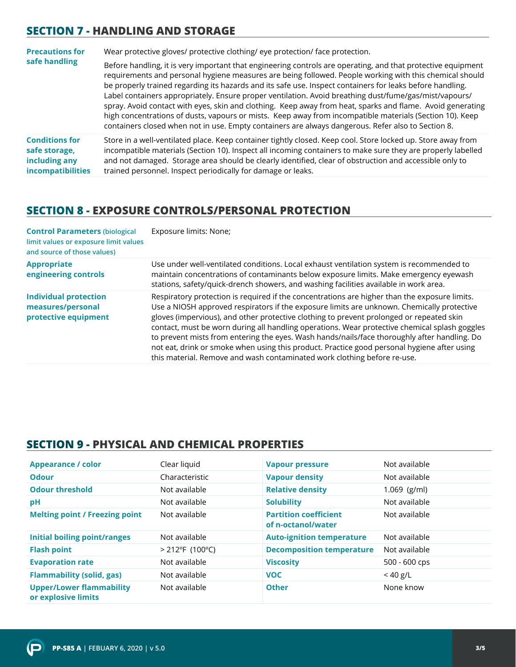### **SECTION 7 - HANDLING AND STORAGE**

| <b>Precautions for</b><br>safe handling                                             | Wear protective gloves/ protective clothing/ eye protection/ face protection.                                                                                                                                                                                                                                                                                                                                                                                                                                                                                                                                                                                                                                                                                                  |  |
|-------------------------------------------------------------------------------------|--------------------------------------------------------------------------------------------------------------------------------------------------------------------------------------------------------------------------------------------------------------------------------------------------------------------------------------------------------------------------------------------------------------------------------------------------------------------------------------------------------------------------------------------------------------------------------------------------------------------------------------------------------------------------------------------------------------------------------------------------------------------------------|--|
|                                                                                     | Before handling, it is very important that engineering controls are operating, and that protective equipment<br>requirements and personal hygiene measures are being followed. People working with this chemical should<br>be properly trained regarding its hazards and its safe use. Inspect containers for leaks before handling.<br>Label containers appropriately. Ensure proper ventilation. Avoid breathing dust/fume/gas/mist/vapours/<br>spray. Avoid contact with eyes, skin and clothing. Keep away from heat, sparks and flame. Avoid generating<br>high concentrations of dusts, vapours or mists. Keep away from incompatible materials (Section 10). Keep<br>containers closed when not in use. Empty containers are always dangerous. Refer also to Section 8. |  |
| <b>Conditions for</b><br>safe storage,<br>including any<br><i>incompatibilities</i> | Store in a well-ventilated place. Keep container tightly closed. Keep cool. Store locked up. Store away from<br>incompatible materials (Section 10). Inspect all incoming containers to make sure they are properly labelled<br>and not damaged. Storage area should be clearly identified, clear of obstruction and accessible only to<br>trained personnel. Inspect periodically for damage or leaks.                                                                                                                                                                                                                                                                                                                                                                        |  |

#### **SECTION 8 - EXPOSURE CONTROLS/PERSONAL PROTECTION**

| <b>Control Parameters (biological</b><br>limit values or exposure limit values<br>and source of those values) | Exposure limits: None;                                                                                                                                                                                                                                                                                                                                                                                                                                                                                                                                                                                                                                              |
|---------------------------------------------------------------------------------------------------------------|---------------------------------------------------------------------------------------------------------------------------------------------------------------------------------------------------------------------------------------------------------------------------------------------------------------------------------------------------------------------------------------------------------------------------------------------------------------------------------------------------------------------------------------------------------------------------------------------------------------------------------------------------------------------|
| <b>Appropriate</b><br>engineering controls                                                                    | Use under well-ventilated conditions. Local exhaust ventilation system is recommended to<br>maintain concentrations of contaminants below exposure limits. Make emergency eyewash<br>stations, safety/quick-drench showers, and washing facilities available in work area.                                                                                                                                                                                                                                                                                                                                                                                          |
| <b>Individual protection</b><br>measures/personal<br>protective equipment                                     | Respiratory protection is required if the concentrations are higher than the exposure limits.<br>Use a NIOSH approved respirators if the exposure limits are unknown. Chemically protective<br>gloves (impervious), and other protective clothing to prevent prolonged or repeated skin<br>contact, must be worn during all handling operations. Wear protective chemical splash goggles<br>to prevent mists from entering the eyes. Wash hands/nails/face thoroughly after handling. Do<br>not eat, drink or smoke when using this product. Practice good personal hygiene after using<br>this material. Remove and wash contaminated work clothing before re-use. |

### **SECTION 9 - PHYSICAL AND CHEMICAL PROPERTIES**

| <b>Appearance / color</b>                              | Clear liquid       | <b>Vapour pressure</b>                             | Not available   |
|--------------------------------------------------------|--------------------|----------------------------------------------------|-----------------|
| <b>Odour</b>                                           | Characteristic     | <b>Vapour density</b>                              | Not available   |
| <b>Odour threshold</b>                                 | Not available      | <b>Relative density</b>                            | $1.069$ (g/ml)  |
| pH                                                     | Not available      | <b>Solubility</b>                                  | Not available   |
| <b>Melting point / Freezing point</b>                  | Not available      | <b>Partition coefficient</b><br>of n-octanol/water | Not available   |
| <b>Initial boiling point/ranges</b>                    | Not available      | <b>Auto-ignition temperature</b>                   | Not available   |
| <b>Flash point</b>                                     | $> 212$ °F (100°C) | <b>Decomposition temperature</b>                   | Not available   |
| <b>Evaporation rate</b>                                | Not available      | <b>Viscosity</b>                                   | $500 - 600$ cps |
| <b>Flammability (solid, gas)</b>                       | Not available      | <b>VOC</b>                                         | $<$ 40 g/L      |
| <b>Upper/Lower flammability</b><br>or explosive limits | Not available      | <b>Other</b>                                       | None know       |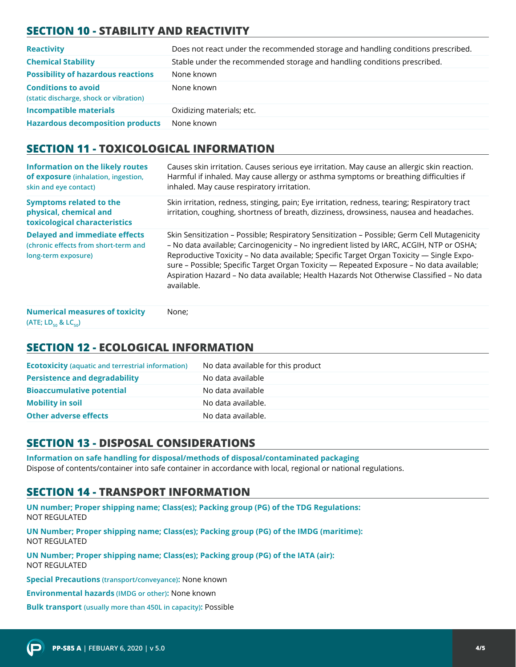# **SECTION 10 - STABILITY AND REACTIVITY**

| <b>Reactivity</b>                                                    | Does not react under the recommended storage and handling conditions prescribed. |
|----------------------------------------------------------------------|----------------------------------------------------------------------------------|
| <b>Chemical Stability</b>                                            | Stable under the recommended storage and handling conditions prescribed.         |
| <b>Possibility of hazardous reactions</b>                            | None known                                                                       |
| <b>Conditions to avoid</b><br>(static discharge, shock or vibration) | None known                                                                       |
| <b>Incompatible materials</b>                                        | Oxidizing materials; etc.                                                        |
| <b>Hazardous decomposition products</b>                              | None known                                                                       |

#### **SECTION 11 - TOXICOLOGICAL INFORMATION**

| <b>Information on the likely routes</b><br>of exposure (inhalation, ingestion,<br>skin and eye contact) | Causes skin irritation. Causes serious eye irritation. May cause an allergic skin reaction.<br>Harmful if inhaled. May cause allergy or asthma symptoms or breathing difficulties if<br>inhaled. May cause respiratory irritation.                                                                                                                                                                                                                                                        |
|---------------------------------------------------------------------------------------------------------|-------------------------------------------------------------------------------------------------------------------------------------------------------------------------------------------------------------------------------------------------------------------------------------------------------------------------------------------------------------------------------------------------------------------------------------------------------------------------------------------|
| <b>Symptoms related to the</b><br>physical, chemical and<br>toxicological characteristics               | Skin irritation, redness, stinging, pain; Eye irritation, redness, tearing; Respiratory tract<br>irritation, coughing, shortness of breath, dizziness, drowsiness, nausea and headaches.                                                                                                                                                                                                                                                                                                  |
| <b>Delayed and immediate effects</b><br>(chronic effects from short-term and<br>long-term exposure)     | Skin Sensitization - Possible; Respiratory Sensitization - Possible; Germ Cell Mutagenicity<br>- No data available; Carcinogenicity - No ingredient listed by IARC, ACGIH, NTP or OSHA;<br>Reproductive Toxicity - No data available; Specific Target Organ Toxicity - Single Expo-<br>sure - Possible; Specific Target Organ Toxicity - Repeated Exposure - No data available;<br>Aspiration Hazard - No data available; Health Hazards Not Otherwise Classified - No data<br>available. |

**Numerical measures of toxicity (ATE; LD<sub>50</sub> & LC<sub>50</sub>)** None;

#### **SECTION 12 - ECOLOGICAL INFORMATION**

| <b>Ecotoxicity</b> (aquatic and terrestrial information) | No data available for this product |
|----------------------------------------------------------|------------------------------------|
| <b>Persistence and degradability</b>                     | No data available                  |
| <b>Bioaccumulative potential</b>                         | No data available                  |
| <b>Mobility in soil</b>                                  | No data available.                 |
| <b>Other adverse effects</b>                             | No data available.                 |
|                                                          |                                    |

# **SECTION 13 - DISPOSAL CONSIDERATIONS**

**Information on safe handling for disposal/methods of disposal/contaminated packaging**  Dispose of contents/container into safe container in accordance with local, regional or national regulations.

# **SECTION 14 - TRANSPORT INFORMATION**

**UN number; Proper shipping name; Class(es); Packing group (PG) of the TDG Regulations:** NOT REGULATED

**UN Number; Proper shipping name; Class(es); Packing group (PG) of the IMDG (maritime):** NOT REGULATED

**UN Number; Proper shipping name; Class(es); Packing group (PG) of the IATA (air):** NOT REGULATED

**Special Precautions (transport/conveyance):** None known

**Environmental hazards (IMDG or other):** None known

**Bulk transport (usually more than 450L in capacity):** Possible